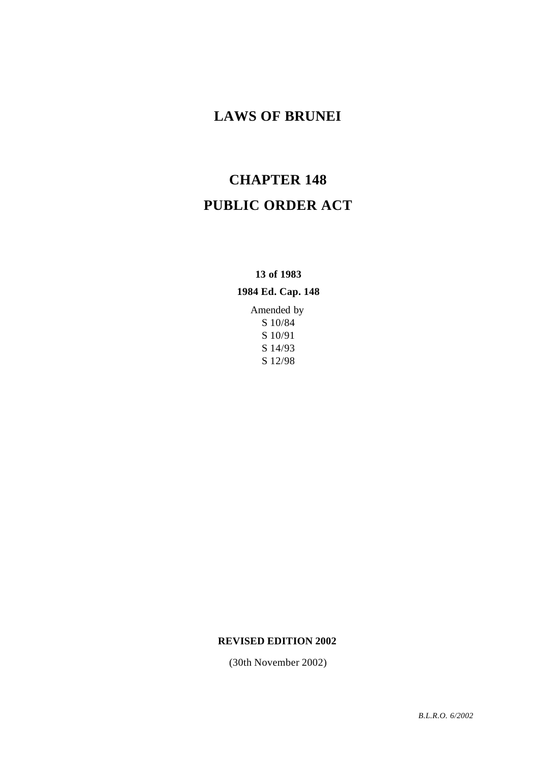## **LAWS OF BRUNEI**

# **CHAPTER 148 PUBLIC ORDER ACT**

**13 of 1983**

#### **1984 Ed. Cap. 148**

Amended by S 10/84 S 10/91 S 14/93 S 12/98

#### **REVISED EDITION 2002**

(30th November 2002)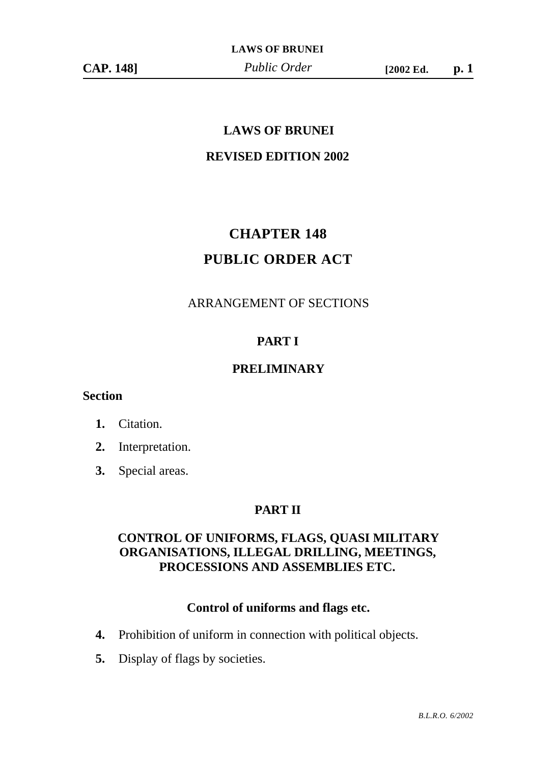**LAWS OF BRUNEI**

### **LAWS OF BRUNEI**

### **REVISED EDITION 2002**

# **CHAPTER 148 PUBLIC ORDER ACT**

### ARRANGEMENT OF SECTIONS

### **PART I**

### **PRELIMINARY**

### **Section**

### **1.** Citation.

- **2.** Interpretation.
- **3.** Special areas.

### **PART II**

### **CONTROL OF UNIFORMS, FLAGS, QUASI MILITARY ORGANISATIONS, ILLEGAL DRILLING, MEETINGS, PROCESSIONS AND ASSEMBLIES ETC.**

### **Control of uniforms and flags etc.**

- **4.** Prohibition of uniform in connection with political objects.
- **5.** Display of flags by societies.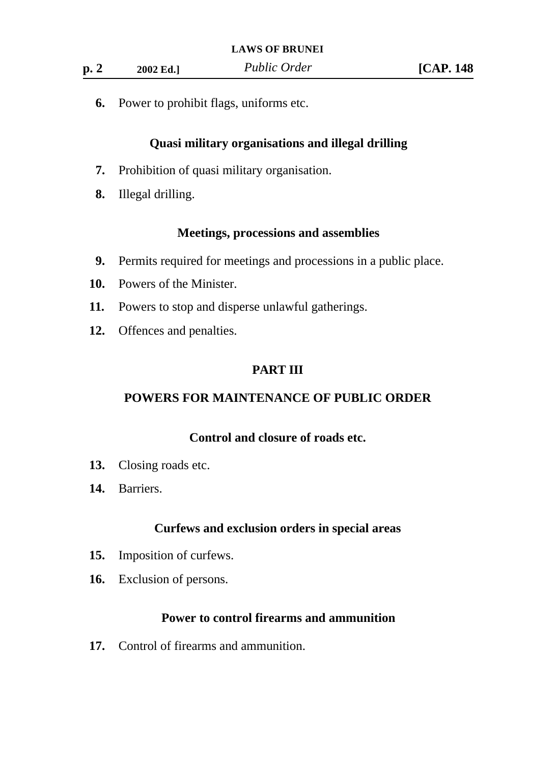**6.** Power to prohibit flags, uniforms etc.

### **Quasi military organisations and illegal drilling**

- **7.** Prohibition of quasi military organisation.
- **8.** Illegal drilling.

### **Meetings, processions and assemblies**

- **9.** Permits required for meetings and processions in a public place.
- **10.** Powers of the Minister.
- **11.** Powers to stop and disperse unlawful gatherings.
- **12.** Offences and penalties.

### **PART III**

### **POWERS FOR MAINTENANCE OF PUBLIC ORDER**

### **Control and closure of roads etc.**

- **13.** Closing roads etc.
- **14.** Barriers.

### **Curfews and exclusion orders in special areas**

- **15.** Imposition of curfews.
- **16.** Exclusion of persons.

### **Power to control firearms and ammunition**

**17.** Control of firearms and ammunition.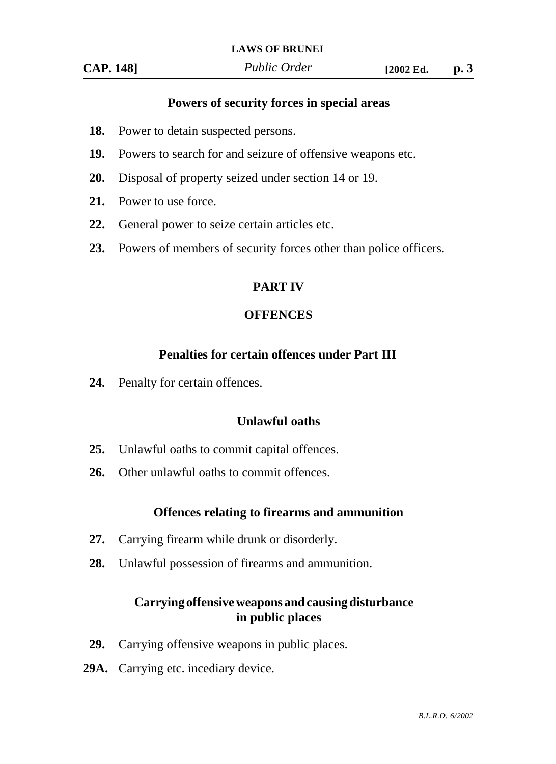#### **Powers of security forces in special areas**

- **18.** Power to detain suspected persons.
- **19.** Powers to search for and seizure of offensive weapons etc.
- **20.** Disposal of property seized under section 14 or 19.
- **21.** Power to use force.
- **22.** General power to seize certain articles etc.
- **23.** Powers of members of security forces other than police officers.

### **PART IV**

### **OFFENCES**

### **Penalties for certain offences under Part III**

**24.** Penalty for certain offences.

### **Unlawful oaths**

- **25.** Unlawful oaths to commit capital offences.
- **26.** Other unlawful oaths to commit offences.

#### **Offences relating to firearms and ammunition**

- **27.** Carrying firearm while drunk or disorderly.
- **28.** Unlawful possession of firearms and ammunition.

### **Carrying offensive weapons and causing disturbance in public places**

- **29.** Carrying offensive weapons in public places.
- 29A. Carrying etc. incediary device.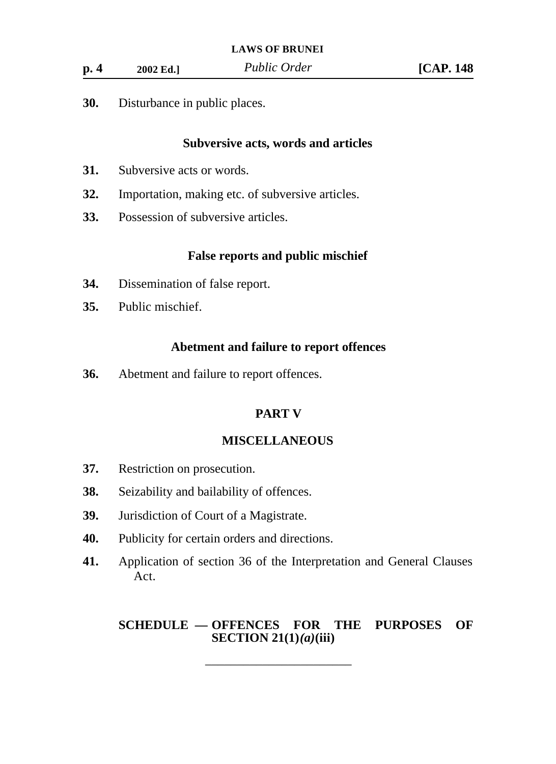**p. 4 2002 Ed.]** *Public Order* **[CAP. 148**

**30.** Disturbance in public places.

### **Subversive acts, words and articles**

- **31.** Subversive acts or words.
- **32.** Importation, making etc. of subversive articles.
- **33.** Possession of subversive articles.

### **False reports and public mischief**

- **34.** Dissemination of false report.
- **35.** Public mischief.

### **Abetment and failure to report offences**

**36.** Abetment and failure to report offences.

### **PART V**

#### **MISCELLANEOUS**

- **37.** Restriction on prosecution.
- **38.** Seizability and bailability of offences.
- **39.** Jurisdiction of Court of a Magistrate.
- **40.** Publicity for certain orders and directions.
- **41.** Application of section 36 of the Interpretation and General Clauses Act.

\_\_\_\_\_\_\_\_\_\_\_\_\_\_\_\_\_\_\_\_\_\_\_

### **SCHEDULE — OFFENCES FOR THE PURPOSES OF SECTION 21(1)***(a)***(iii)**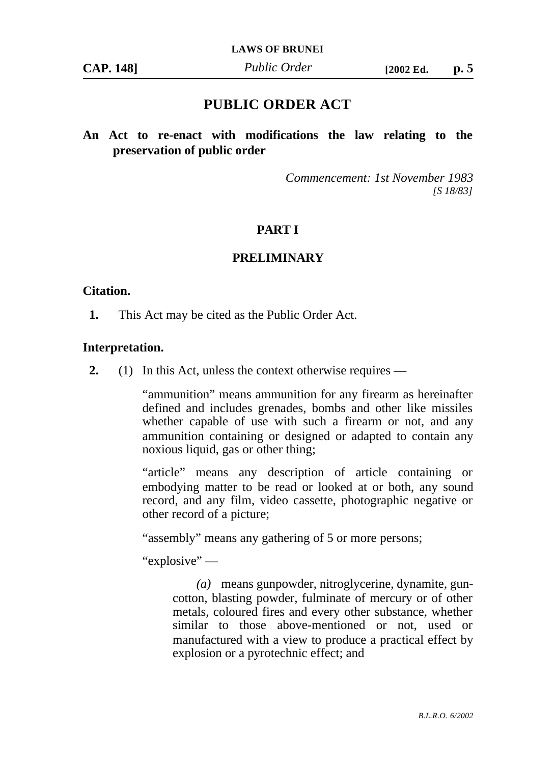*Public Order* **CAP. 148] [2002 Ed. p. 5**

### **PUBLIC ORDER ACT**

**An Act to re-enact with modifications the law relating to the preservation of public order**

> *Commencement: 1st November 1983 [S 18/83]*

### **PART I**

### **PRELIMINARY**

#### **Citation.**

**1.** This Act may be cited as the Public Order Act.

#### **Interpretation.**

**2.** (1) In this Act, unless the context otherwise requires —

"ammunition" means ammunition for any firearm as hereinafter defined and includes grenades, bombs and other like missiles whether capable of use with such a firearm or not, and any ammunition containing or designed or adapted to contain any noxious liquid, gas or other thing;

"article" means any description of article containing or embodying matter to be read or looked at or both, any sound record, and any film, video cassette, photographic negative or other record of a picture;

"assembly" means any gathering of 5 or more persons;

"explosive" —

*(a)* means gunpowder, nitroglycerine, dynamite, guncotton, blasting powder, fulminate of mercury or of other metals, coloured fires and every other substance, whether similar to those above-mentioned or not, used or manufactured with a view to produce a practical effect by explosion or a pyrotechnic effect; and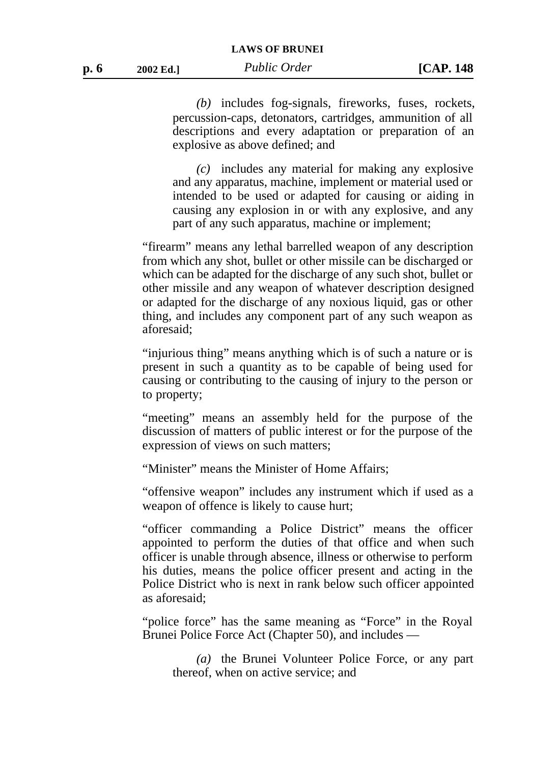*(b)* includes fog-signals, fireworks, fuses, rockets, percussion-caps, detonators, cartridges, ammunition of all descriptions and every adaptation or preparation of an explosive as above defined; and

*(c)* includes any material for making any explosive and any apparatus, machine, implement or material used or intended to be used or adapted for causing or aiding in causing any explosion in or with any explosive, and any part of any such apparatus, machine or implement;

"firearm" means any lethal barrelled weapon of any description from which any shot, bullet or other missile can be discharged or which can be adapted for the discharge of any such shot, bullet or other missile and any weapon of whatever description designed or adapted for the discharge of any noxious liquid, gas or other thing, and includes any component part of any such weapon as aforesaid;

"injurious thing" means anything which is of such a nature or is present in such a quantity as to be capable of being used for causing or contributing to the causing of injury to the person or to property;

"meeting" means an assembly held for the purpose of the discussion of matters of public interest or for the purpose of the expression of views on such matters;

"Minister" means the Minister of Home Affairs;

"offensive weapon" includes any instrument which if used as a weapon of offence is likely to cause hurt;

"officer commanding a Police District" means the officer appointed to perform the duties of that office and when such officer is unable through absence, illness or otherwise to perform his duties, means the police officer present and acting in the Police District who is next in rank below such officer appointed as aforesaid;

"police force" has the same meaning as "Force" in the Royal Brunei Police Force Act (Chapter 50), and includes —

*(a)* the Brunei Volunteer Police Force, or any part thereof, when on active service; and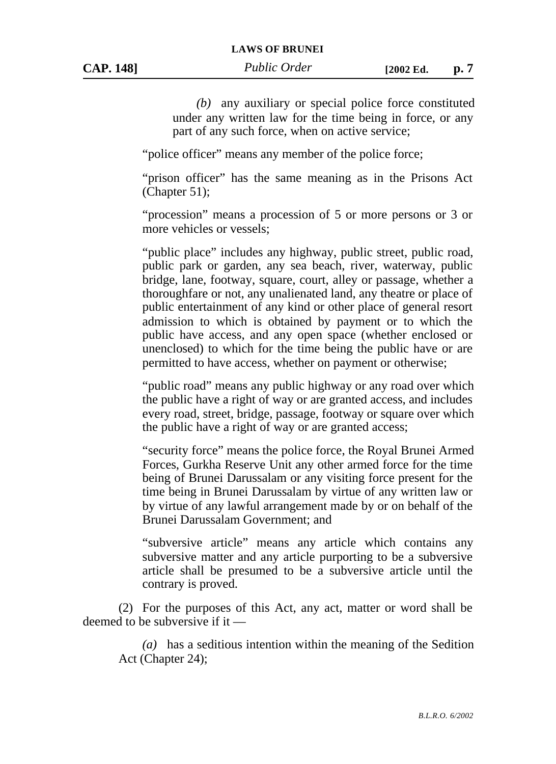*(b)* any auxiliary or special police force constituted under any written law for the time being in force, or any part of any such force, when on active service;

"police officer" means any member of the police force;

"prison officer" has the same meaning as in the Prisons Act (Chapter 51);

"procession" means a procession of 5 or more persons or 3 or more vehicles or vessels;

"public place" includes any highway, public street, public road, public park or garden, any sea beach, river, waterway, public bridge, lane, footway, square, court, alley or passage, whether a thoroughfare or not, any unalienated land, any theatre or place of public entertainment of any kind or other place of general resort admission to which is obtained by payment or to which the public have access, and any open space (whether enclosed or unenclosed) to which for the time being the public have or are permitted to have access, whether on payment or otherwise;

"public road" means any public highway or any road over which the public have a right of way or are granted access, and includes every road, street, bridge, passage, footway or square over which the public have a right of way or are granted access;

"security force" means the police force, the Royal Brunei Armed Forces, Gurkha Reserve Unit any other armed force for the time being of Brunei Darussalam or any visiting force present for the time being in Brunei Darussalam by virtue of any written law or by virtue of any lawful arrangement made by or on behalf of the Brunei Darussalam Government; and

"subversive article" means any article which contains any subversive matter and any article purporting to be a subversive article shall be presumed to be a subversive article until the contrary is proved.

(2) For the purposes of this Act, any act, matter or word shall be deemed to be subversive if it —

*(a)* has a seditious intention within the meaning of the Sedition Act (Chapter 24);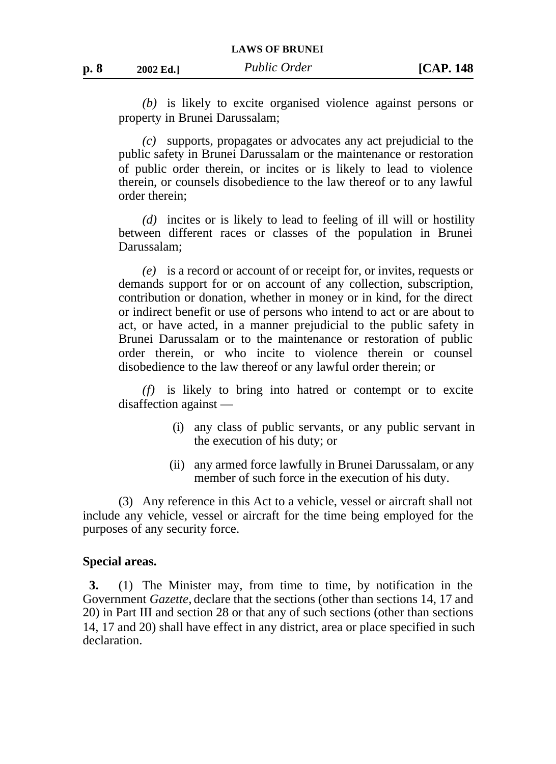*(b)* is likely to excite organised violence against persons or property in Brunei Darussalam;

*(c)* supports, propagates or advocates any act prejudicial to the public safety in Brunei Darussalam or the maintenance or restoration of public order therein, or incites or is likely to lead to violence therein, or counsels disobedience to the law thereof or to any lawful order therein;

*(d)* incites or is likely to lead to feeling of ill will or hostility between different races or classes of the population in Brunei Darussalam;

*(e)* is a record or account of or receipt for, or invites, requests or demands support for or on account of any collection, subscription, contribution or donation, whether in money or in kind, for the direct or indirect benefit or use of persons who intend to act or are about to act, or have acted, in a manner prejudicial to the public safety in Brunei Darussalam or to the maintenance or restoration of public order therein, or who incite to violence therein or counsel disobedience to the law thereof or any lawful order therein; or

*(f)* is likely to bring into hatred or contempt or to excite disaffection against —

- (i) any class of public servants, or any public servant in the execution of his duty; or
- (ii) any armed force lawfully in Brunei Darussalam, or any member of such force in the execution of his duty.

(3) Any reference in this Act to a vehicle, vessel or aircraft shall not include any vehicle, vessel or aircraft for the time being employed for the purposes of any security force.

#### **Special areas.**

**3.** (1) The Minister may, from time to time, by notification in the Government *Gazette,* declare that the sections (other than sections 14, 17 and 20) in Part III and section 28 or that any of such sections (other than sections 14, 17 and 20) shall have effect in any district, area or place specified in such declaration.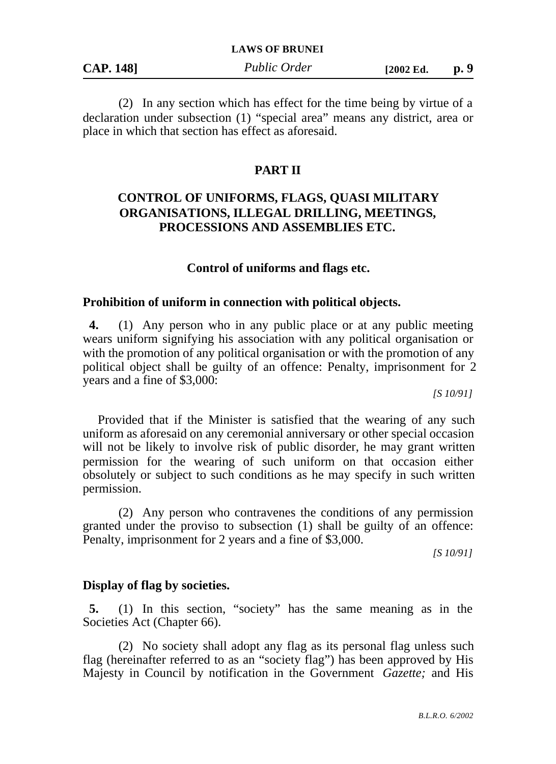#### **LAWS OF BRUNEI**

| <b>CAP. 148]</b> | Public Order | $[2002 \text{ Ed.}]$ | p. 9 |
|------------------|--------------|----------------------|------|
|------------------|--------------|----------------------|------|

(2) In any section which has effect for the time being by virtue of a declaration under subsection (1) "special area" means any district, area or place in which that section has effect as aforesaid.

### **PART II**

### **CONTROL OF UNIFORMS, FLAGS, QUASI MILITARY ORGANISATIONS, ILLEGAL DRILLING, MEETINGS, PROCESSIONS AND ASSEMBLIES ETC.**

#### **Control of uniforms and flags etc.**

#### **Prohibition of uniform in connection with political objects.**

**4.** (1) Any person who in any public place or at any public meeting wears uniform signifying his association with any political organisation or with the promotion of any political organisation or with the promotion of any political object shall be guilty of an offence: Penalty, imprisonment for 2 years and a fine of \$3,000:

*[S 10/91]*

Provided that if the Minister is satisfied that the wearing of any such uniform as aforesaid on any ceremonial anniversary or other special occasion will not be likely to involve risk of public disorder, he may grant written permission for the wearing of such uniform on that occasion either obsolutely or subject to such conditions as he may specify in such written permission.

(2) Any person who contravenes the conditions of any permission granted under the proviso to subsection (1) shall be guilty of an offence: Penalty, imprisonment for 2 years and a fine of \$3,000.

*[S 10/91]*

#### **Display of flag by societies.**

**5.** (1) In this section, "society" has the same meaning as in the Societies Act (Chapter 66).

(2) No society shall adopt any flag as its personal flag unless such flag (hereinafter referred to as an "society flag") has been approved by His Majesty in Council by notification in the Government *Gazette;* and His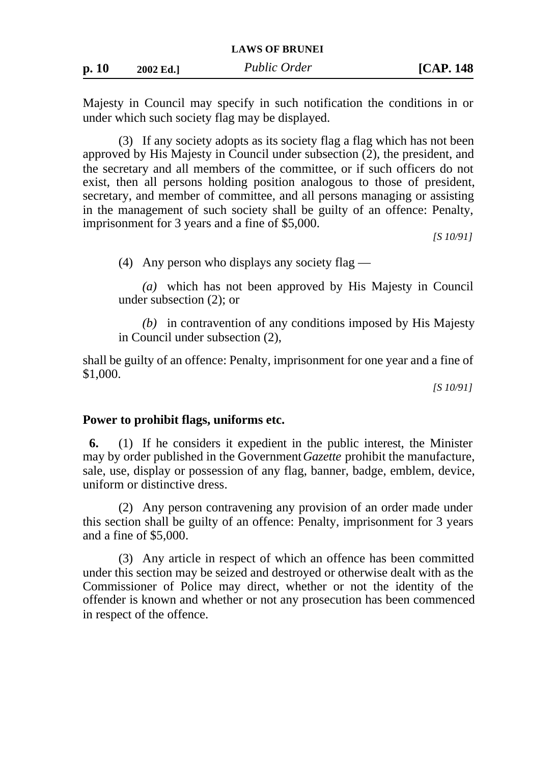Majesty in Council may specify in such notification the conditions in or under which such society flag may be displayed.

(3) If any society adopts as its society flag a flag which has not been approved by His Majesty in Council under subsection (2), the president, and the secretary and all members of the committee, or if such officers do not exist, then all persons holding position analogous to those of president, secretary, and member of committee, and all persons managing or assisting in the management of such society shall be guilty of an offence: Penalty, imprisonment for 3 years and a fine of \$5,000.

*[S 10/91]*

(4) Any person who displays any society flag —

*(a)* which has not been approved by His Majesty in Council under subsection (2); or

*(b)* in contravention of any conditions imposed by His Majesty in Council under subsection (2),

shall be guilty of an offence: Penalty, imprisonment for one year and a fine of \$1,000.

*[S 10/91]*

### **Power to prohibit flags, uniforms etc.**

**6.** (1) If he considers it expedient in the public interest, the Minister may by order published in the Government *Gazette* prohibit the manufacture, sale, use, display or possession of any flag, banner, badge, emblem, device, uniform or distinctive dress.

(2) Any person contravening any provision of an order made under this section shall be guilty of an offence: Penalty, imprisonment for 3 years and a fine of \$5,000.

(3) Any article in respect of which an offence has been committed under this section may be seized and destroyed or otherwise dealt with as the Commissioner of Police may direct, whether or not the identity of the offender is known and whether or not any prosecution has been commenced in respect of the offence.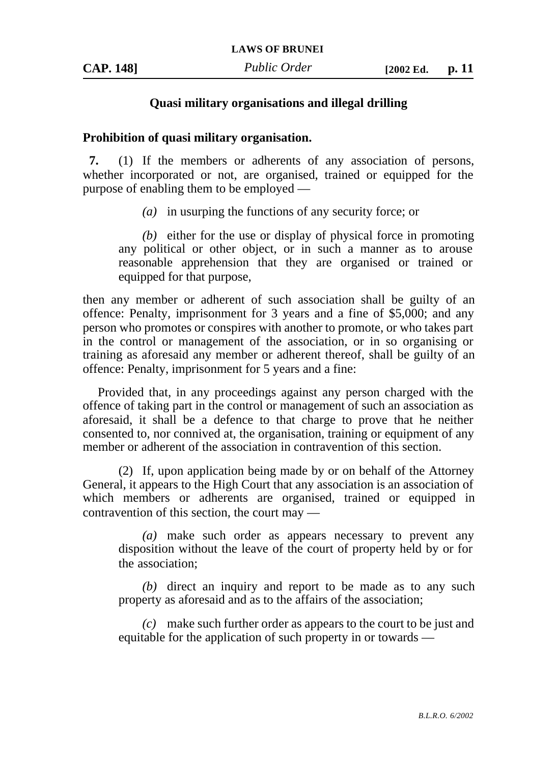#### **Quasi military organisations and illegal drilling**

#### **Prohibition of quasi military organisation.**

**7.** (1) If the members or adherents of any association of persons, whether incorporated or not, are organised, trained or equipped for the purpose of enabling them to be employed —

*(a)* in usurping the functions of any security force; or

*(b)* either for the use or display of physical force in promoting any political or other object, or in such a manner as to arouse reasonable apprehension that they are organised or trained or equipped for that purpose,

then any member or adherent of such association shall be guilty of an offence: Penalty, imprisonment for 3 years and a fine of \$5,000; and any person who promotes or conspires with another to promote, or who takes part in the control or management of the association, or in so organising or training as aforesaid any member or adherent thereof, shall be guilty of an offence: Penalty, imprisonment for 5 years and a fine:

Provided that, in any proceedings against any person charged with the offence of taking part in the control or management of such an association as aforesaid, it shall be a defence to that charge to prove that he neither consented to, nor connived at, the organisation, training or equipment of any member or adherent of the association in contravention of this section.

(2) If, upon application being made by or on behalf of the Attorney General, it appears to the High Court that any association is an association of which members or adherents are organised, trained or equipped in contravention of this section, the court may —

*(a)* make such order as appears necessary to prevent any disposition without the leave of the court of property held by or for the association;

*(b)* direct an inquiry and report to be made as to any such property as aforesaid and as to the affairs of the association;

*(c)* make such further order as appears to the court to be just and equitable for the application of such property in or towards —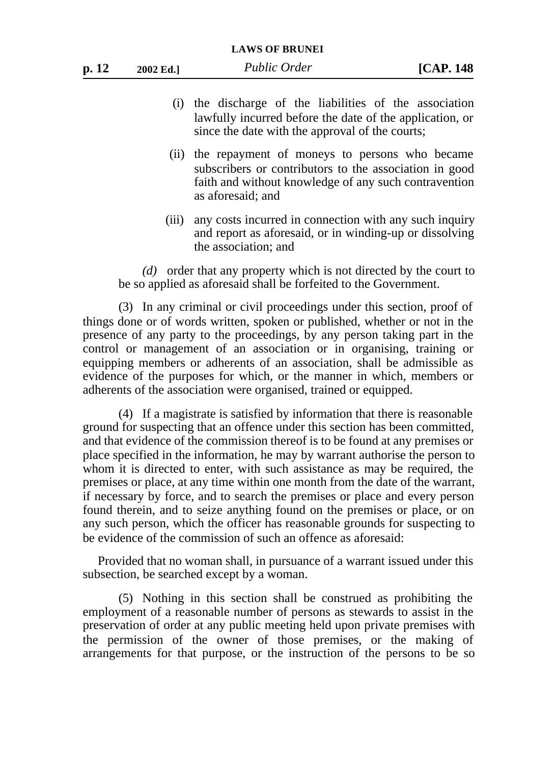- (i) the discharge of the liabilities of the association lawfully incurred before the date of the application, or since the date with the approval of the courts;
- (ii) the repayment of moneys to persons who became subscribers or contributors to the association in good faith and without knowledge of any such contravention as aforesaid; and
- (iii) any costs incurred in connection with any such inquiry and report as aforesaid, or in winding-up or dissolving the association; and

*(d)* order that any property which is not directed by the court to be so applied as aforesaid shall be forfeited to the Government.

(3) In any criminal or civil proceedings under this section, proof of things done or of words written, spoken or published, whether or not in the presence of any party to the proceedings, by any person taking part in the control or management of an association or in organising, training or equipping members or adherents of an association, shall be admissible as evidence of the purposes for which, or the manner in which, members or adherents of the association were organised, trained or equipped.

(4) If a magistrate is satisfied by information that there is reasonable ground for suspecting that an offence under this section has been committed, and that evidence of the commission thereof is to be found at any premises or place specified in the information, he may by warrant authorise the person to whom it is directed to enter, with such assistance as may be required, the premises or place, at any time within one month from the date of the warrant, if necessary by force, and to search the premises or place and every person found therein, and to seize anything found on the premises or place, or on any such person, which the officer has reasonable grounds for suspecting to be evidence of the commission of such an offence as aforesaid:

Provided that no woman shall, in pursuance of a warrant issued under this subsection, be searched except by a woman.

(5) Nothing in this section shall be construed as prohibiting the employment of a reasonable number of persons as stewards to assist in the preservation of order at any public meeting held upon private premises with the permission of the owner of those premises, or the making of arrangements for that purpose, or the instruction of the persons to be so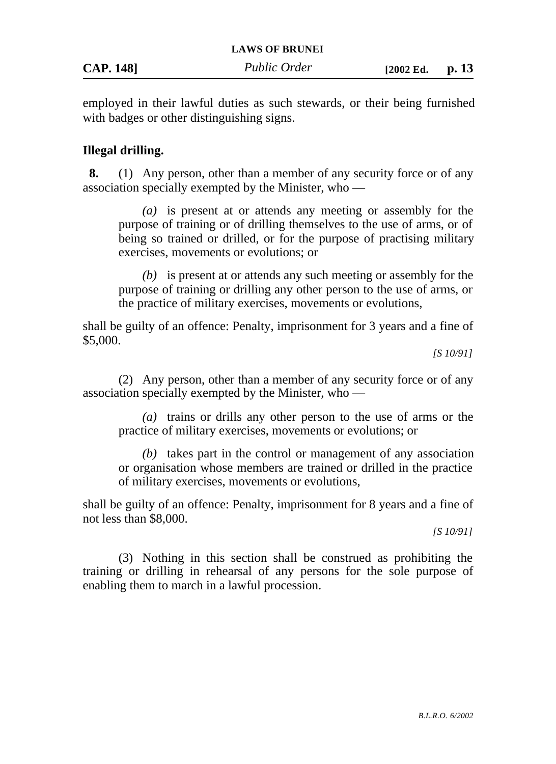|                   | <b>LAWS OF BRUNEI</b> |                                  |  |
|-------------------|-----------------------|----------------------------------|--|
| <b>CAP. 148</b> ] | Public Order          | $[2002 \text{ Ed.} \quad p. 13]$ |  |

employed in their lawful duties as such stewards, or their being furnished with badges or other distinguishing signs.

### **Illegal drilling.**

**8.** (1) Any person, other than a member of any security force or of any association specially exempted by the Minister, who —

*(a)* is present at or attends any meeting or assembly for the purpose of training or of drilling themselves to the use of arms, or of being so trained or drilled, or for the purpose of practising military exercises, movements or evolutions; or

*(b)* is present at or attends any such meeting or assembly for the purpose of training or drilling any other person to the use of arms, or the practice of military exercises, movements or evolutions,

shall be guilty of an offence: Penalty, imprisonment for 3 years and a fine of \$5,000.

*[S 10/91]*

(2) Any person, other than a member of any security force or of any association specially exempted by the Minister, who —

*(a)* trains or drills any other person to the use of arms or the practice of military exercises, movements or evolutions; or

*(b)* takes part in the control or management of any association or organisation whose members are trained or drilled in the practice of military exercises, movements or evolutions,

shall be guilty of an offence: Penalty, imprisonment for 8 years and a fine of not less than \$8,000.

*[S 10/91]*

(3) Nothing in this section shall be construed as prohibiting the training or drilling in rehearsal of any persons for the sole purpose of enabling them to march in a lawful procession.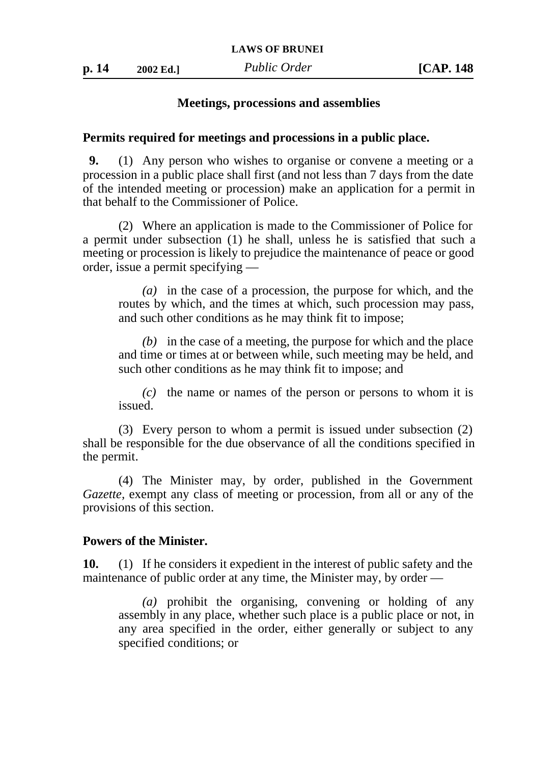### **Meetings, processions and assemblies**

### **Permits required for meetings and processions in a public place.**

**9.** (1) Any person who wishes to organise or convene a meeting or a procession in a public place shall first (and not less than 7 days from the date of the intended meeting or procession) make an application for a permit in that behalf to the Commissioner of Police.

(2) Where an application is made to the Commissioner of Police for a permit under subsection (1) he shall, unless he is satisfied that such a meeting or procession is likely to prejudice the maintenance of peace or good order, issue a permit specifying —

*(a)* in the case of a procession, the purpose for which, and the routes by which, and the times at which, such procession may pass, and such other conditions as he may think fit to impose;

*(b)* in the case of a meeting, the purpose for which and the place and time or times at or between while, such meeting may be held, and such other conditions as he may think fit to impose; and

*(c)* the name or names of the person or persons to whom it is issued.

(3) Every person to whom a permit is issued under subsection (2) shall be responsible for the due observance of all the conditions specified in the permit.

(4) The Minister may, by order, published in the Government *Gazette,* exempt any class of meeting or procession, from all or any of the provisions of this section.

#### **Powers of the Minister.**

**10.** (1) If he considers it expedient in the interest of public safety and the maintenance of public order at any time, the Minister may, by order —

*(a)* prohibit the organising, convening or holding of any assembly in any place, whether such place is a public place or not, in any area specified in the order, either generally or subject to any specified conditions; or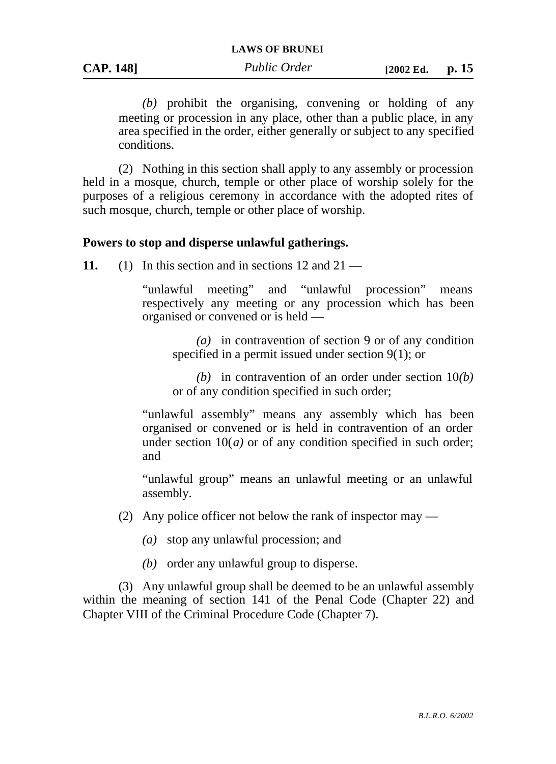*(b)* prohibit the organising, convening or holding of any meeting or procession in any place, other than a public place, in any area specified in the order, either generally or subject to any specified conditions.

(2) Nothing in this section shall apply to any assembly or procession held in a mosque, church, temple or other place of worship solely for the purposes of a religious ceremony in accordance with the adopted rites of such mosque, church, temple or other place of worship.

### **Powers to stop and disperse unlawful gatherings.**

**11.** (1) In this section and in sections  $12$  and  $21 -$ 

"unlawful meeting" and "unlawful procession" means respectively any meeting or any procession which has been organised or convened or is held —

*(a)* in contravention of section 9 or of any condition specified in a permit issued under section 9(1); or

*(b)* in contravention of an order under section 10*(b)* or of any condition specified in such order;

"unlawful assembly" means any assembly which has been organised or convened or is held in contravention of an order under section  $10(a)$  or of any condition specified in such order; and

"unlawful group" means an unlawful meeting or an unlawful assembly.

(2) Any police officer not below the rank of inspector may —

*(a)* stop any unlawful procession; and

*(b)* order any unlawful group to disperse.

(3) Any unlawful group shall be deemed to be an unlawful assembly within the meaning of section 141 of the Penal Code (Chapter 22) and Chapter VIII of the Criminal Procedure Code (Chapter 7).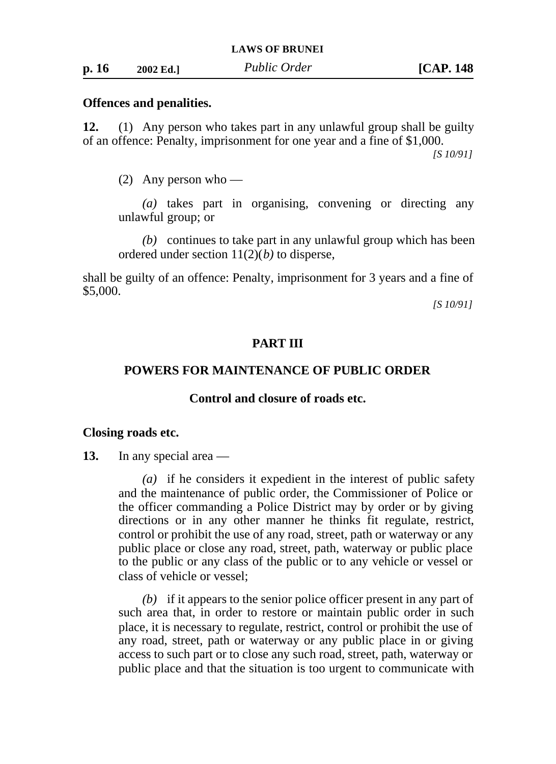#### **Offences and penalities.**

**12.** (1) Any person who takes part in any unlawful group shall be guilty of an offence: Penalty, imprisonment for one year and a fine of \$1,000.

*[S 10/91]*

(2) Any person who —

*(a)* takes part in organising, convening or directing any unlawful group; or

*(b)* continues to take part in any unlawful group which has been ordered under section 11(2)(*b)* to disperse,

shall be guilty of an offence: Penalty, imprisonment for 3 years and a fine of \$5,000.

*[S 10/91]*

### **PART III**

#### **POWERS FOR MAINTENANCE OF PUBLIC ORDER**

#### **Control and closure of roads etc.**

#### **Closing roads etc.**

**13.** In any special area —

*(a)* if he considers it expedient in the interest of public safety and the maintenance of public order, the Commissioner of Police or the officer commanding a Police District may by order or by giving directions or in any other manner he thinks fit regulate, restrict, control or prohibit the use of any road, street, path or waterway or any public place or close any road, street, path, waterway or public place to the public or any class of the public or to any vehicle or vessel or class of vehicle or vessel;

*(b)* if it appears to the senior police officer present in any part of such area that, in order to restore or maintain public order in such place, it is necessary to regulate, restrict, control or prohibit the use of any road, street, path or waterway or any public place in or giving access to such part or to close any such road, street, path, waterway or public place and that the situation is too urgent to communicate with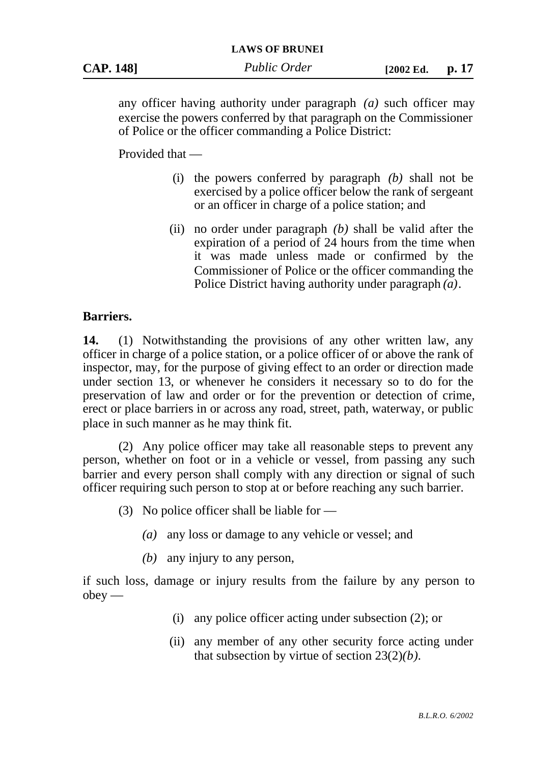any officer having authority under paragraph *(a)* such officer may exercise the powers conferred by that paragraph on the Commissioner of Police or the officer commanding a Police District:

Provided that —

- (i) the powers conferred by paragraph *(b)* shall not be exercised by a police officer below the rank of sergeant or an officer in charge of a police station; and
- (ii) no order under paragraph *(b)* shall be valid after the expiration of a period of 24 hours from the time when it was made unless made or confirmed by the Commissioner of Police or the officer commanding the Police District having authority under paragraph *(a)*.

### **Barriers.**

**14.** (1) Notwithstanding the provisions of any other written law, any officer in charge of a police station, or a police officer of or above the rank of inspector, may, for the purpose of giving effect to an order or direction made under section 13, or whenever he considers it necessary so to do for the preservation of law and order or for the prevention or detection of crime, erect or place barriers in or across any road, street, path, waterway, or public place in such manner as he may think fit.

(2) Any police officer may take all reasonable steps to prevent any person, whether on foot or in a vehicle or vessel, from passing any such barrier and every person shall comply with any direction or signal of such officer requiring such person to stop at or before reaching any such barrier.

(3) No police officer shall be liable for  $-$ 

- *(a)* any loss or damage to any vehicle or vessel; and
- *(b)* any injury to any person,

if such loss, damage or injury results from the failure by any person to obey —

- (i) any police officer acting under subsection (2); or
- (ii) any member of any other security force acting under that subsection by virtue of section 23(2)*(b).*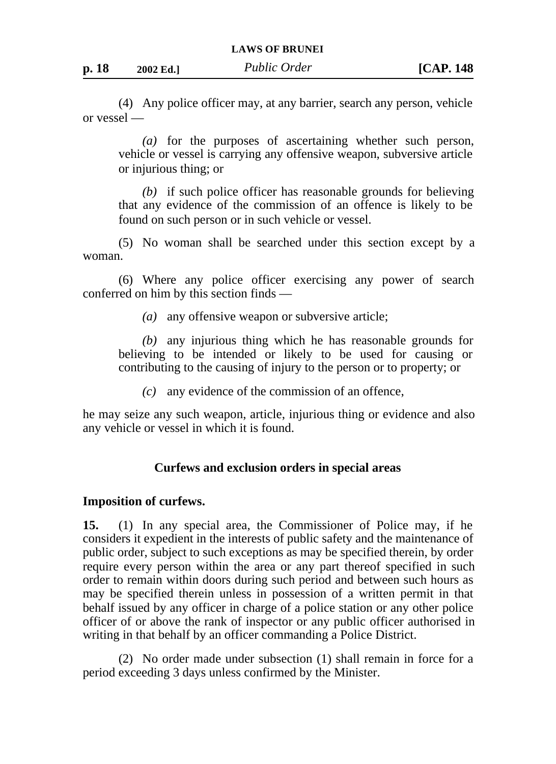| p. 18<br>2002 Ed.] | Public Order | [CAP. 148] |
|--------------------|--------------|------------|
|--------------------|--------------|------------|

(4) Any police officer may, at any barrier, search any person, vehicle or vessel —

*(a)* for the purposes of ascertaining whether such person, vehicle or vessel is carrying any offensive weapon, subversive article or injurious thing; or

*(b)* if such police officer has reasonable grounds for believing that any evidence of the commission of an offence is likely to be found on such person or in such vehicle or vessel.

(5) No woman shall be searched under this section except by a woman.

(6) Where any police officer exercising any power of search conferred on him by this section finds —

*(a)* any offensive weapon or subversive article;

*(b)* any injurious thing which he has reasonable grounds for believing to be intended or likely to be used for causing or contributing to the causing of injury to the person or to property; or

*(c)* any evidence of the commission of an offence,

he may seize any such weapon, article, injurious thing or evidence and also any vehicle or vessel in which it is found.

### **Curfews and exclusion orders in special areas**

### **Imposition of curfews.**

**15.** (1) In any special area, the Commissioner of Police may, if he considers it expedient in the interests of public safety and the maintenance of public order, subject to such exceptions as may be specified therein, by order require every person within the area or any part thereof specified in such order to remain within doors during such period and between such hours as may be specified therein unless in possession of a written permit in that behalf issued by any officer in charge of a police station or any other police officer of or above the rank of inspector or any public officer authorised in writing in that behalf by an officer commanding a Police District.

(2) No order made under subsection (1) shall remain in force for a period exceeding 3 days unless confirmed by the Minister.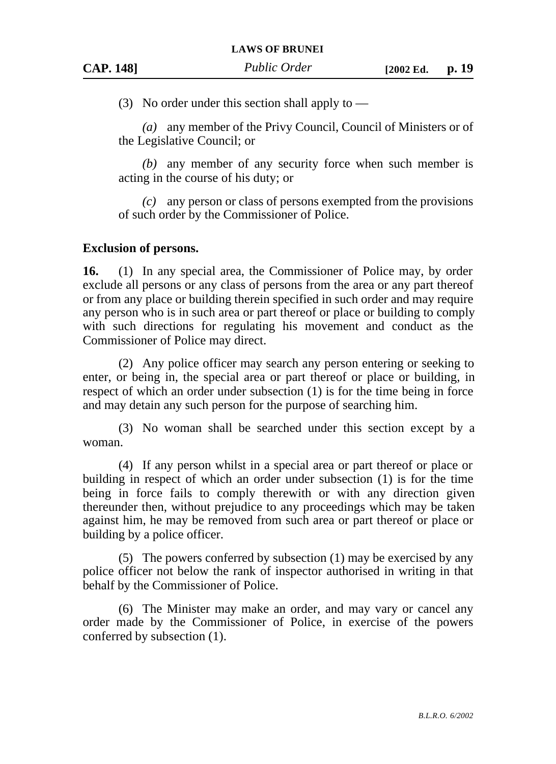(3) No order under this section shall apply to —

*(a)* any member of the Privy Council, Council of Ministers or of the Legislative Council; or

*(b)* any member of any security force when such member is acting in the course of his duty; or

*(c)* any person or class of persons exempted from the provisions of such order by the Commissioner of Police.

### **Exclusion of persons.**

**16.** (1) In any special area, the Commissioner of Police may, by order exclude all persons or any class of persons from the area or any part thereof or from any place or building therein specified in such order and may require any person who is in such area or part thereof or place or building to comply with such directions for regulating his movement and conduct as the Commissioner of Police may direct.

(2) Any police officer may search any person entering or seeking to enter, or being in, the special area or part thereof or place or building, in respect of which an order under subsection (1) is for the time being in force and may detain any such person for the purpose of searching him.

(3) No woman shall be searched under this section except by a woman.

(4) If any person whilst in a special area or part thereof or place or building in respect of which an order under subsection (1) is for the time being in force fails to comply therewith or with any direction given thereunder then, without prejudice to any proceedings which may be taken against him, he may be removed from such area or part thereof or place or building by a police officer.

(5) The powers conferred by subsection (1) may be exercised by any police officer not below the rank of inspector authorised in writing in that behalf by the Commissioner of Police.

(6) The Minister may make an order, and may vary or cancel any order made by the Commissioner of Police, in exercise of the powers conferred by subsection (1).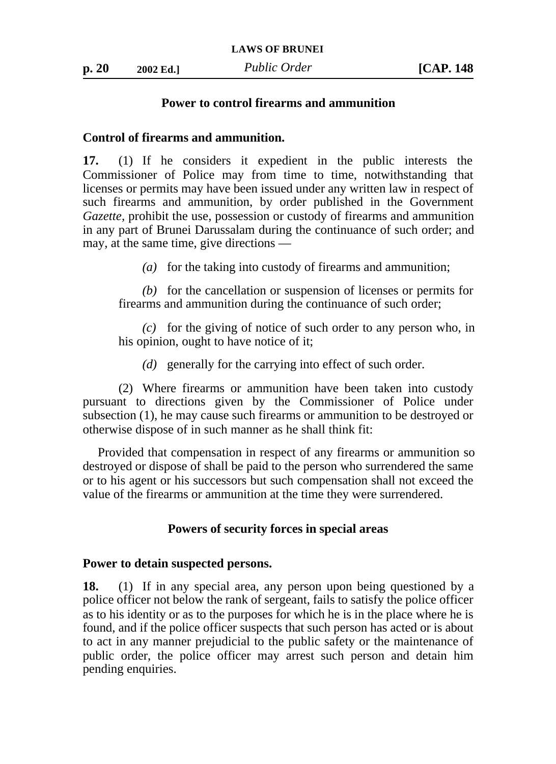### **Power to control firearms and ammunition**

#### **Control of firearms and ammunition.**

**17.** (1) If he considers it expedient in the public interests the Commissioner of Police may from time to time, notwithstanding that licenses or permits may have been issued under any written law in respect of such firearms and ammunition, by order published in the Government *Gazette,* prohibit the use, possession or custody of firearms and ammunition in any part of Brunei Darussalam during the continuance of such order; and may, at the same time, give directions —

*(a)* for the taking into custody of firearms and ammunition;

*(b)* for the cancellation or suspension of licenses or permits for firearms and ammunition during the continuance of such order;

*(c)* for the giving of notice of such order to any person who, in his opinion, ought to have notice of it;

*(d)* generally for the carrying into effect of such order.

(2) Where firearms or ammunition have been taken into custody pursuant to directions given by the Commissioner of Police under subsection (1), he may cause such firearms or ammunition to be destroyed or otherwise dispose of in such manner as he shall think fit:

Provided that compensation in respect of any firearms or ammunition so destroyed or dispose of shall be paid to the person who surrendered the same or to his agent or his successors but such compensation shall not exceed the value of the firearms or ammunition at the time they were surrendered.

#### **Powers of security forces in special areas**

#### **Power to detain suspected persons.**

**18.** (1) If in any special area, any person upon being questioned by a police officer not below the rank of sergeant, fails to satisfy the police officer as to his identity or as to the purposes for which he is in the place where he is found, and if the police officer suspects that such person has acted or is about to act in any manner prejudicial to the public safety or the maintenance of public order, the police officer may arrest such person and detain him pending enquiries.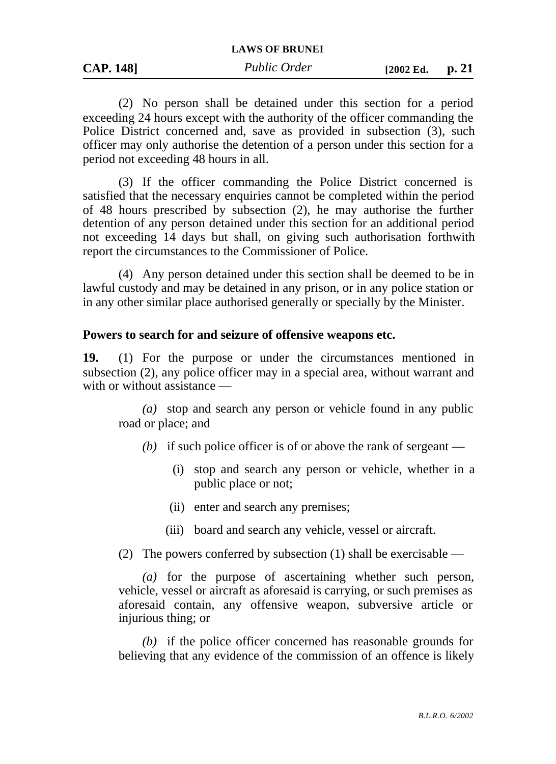(2) No person shall be detained under this section for a period exceeding 24 hours except with the authority of the officer commanding the Police District concerned and, save as provided in subsection (3), such officer may only authorise the detention of a person under this section for a period not exceeding 48 hours in all.

(3) If the officer commanding the Police District concerned is satisfied that the necessary enquiries cannot be completed within the period of 48 hours prescribed by subsection (2), he may authorise the further detention of any person detained under this section for an additional period not exceeding 14 days but shall, on giving such authorisation forthwith report the circumstances to the Commissioner of Police.

(4) Any person detained under this section shall be deemed to be in lawful custody and may be detained in any prison, or in any police station or in any other similar place authorised generally or specially by the Minister.

#### **Powers to search for and seizure of offensive weapons etc.**

**19.** (1) For the purpose or under the circumstances mentioned in subsection (2), any police officer may in a special area, without warrant and with or without assistance —

*(a)* stop and search any person or vehicle found in any public road or place; and

- *(b)* if such police officer is of or above the rank of sergeant
	- (i) stop and search any person or vehicle, whether in a public place or not;
	- (ii) enter and search any premises;
	- (iii) board and search any vehicle, vessel or aircraft.

#### (2) The powers conferred by subsection (1) shall be exercisable —

*(a)* for the purpose of ascertaining whether such person, vehicle, vessel or aircraft as aforesaid is carrying, or such premises as aforesaid contain, any offensive weapon, subversive article or injurious thing; or

*(b)* if the police officer concerned has reasonable grounds for believing that any evidence of the commission of an offence is likely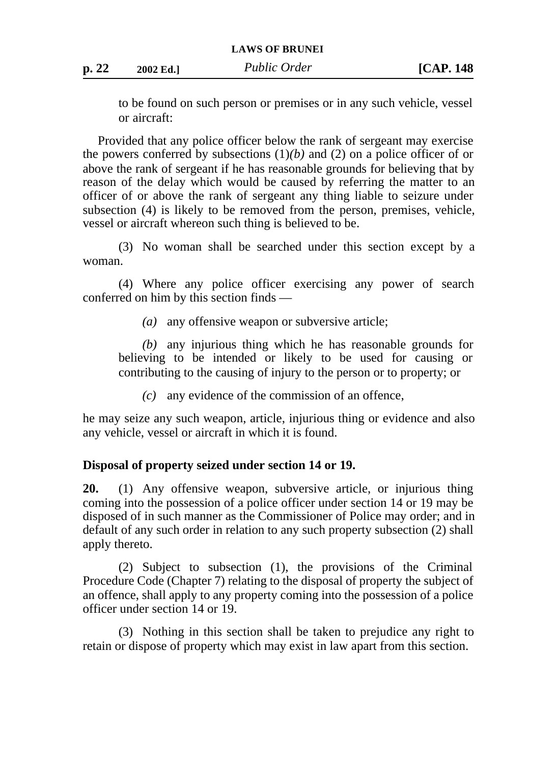to be found on such person or premises or in any such vehicle, vessel or aircraft:

Provided that any police officer below the rank of sergeant may exercise the powers conferred by subsections  $(1)(b)$  and  $(2)$  on a police officer of or above the rank of sergeant if he has reasonable grounds for believing that by reason of the delay which would be caused by referring the matter to an officer of or above the rank of sergeant any thing liable to seizure under subsection (4) is likely to be removed from the person, premises, vehicle, vessel or aircraft whereon such thing is believed to be.

(3) No woman shall be searched under this section except by a woman.

(4) Where any police officer exercising any power of search conferred on him by this section finds —

*(a)* any offensive weapon or subversive article;

*(b)* any injurious thing which he has reasonable grounds for believing to be intended or likely to be used for causing or contributing to the causing of injury to the person or to property; or

*(c)* any evidence of the commission of an offence,

he may seize any such weapon, article, injurious thing or evidence and also any vehicle, vessel or aircraft in which it is found.

### **Disposal of property seized under section 14 or 19.**

**20.** (1) Any offensive weapon, subversive article, or injurious thing coming into the possession of a police officer under section 14 or 19 may be disposed of in such manner as the Commissioner of Police may order; and in default of any such order in relation to any such property subsection (2) shall apply thereto.

(2) Subject to subsection (1), the provisions of the Criminal Procedure Code (Chapter 7) relating to the disposal of property the subject of an offence, shall apply to any property coming into the possession of a police officer under section 14 or 19.

(3) Nothing in this section shall be taken to prejudice any right to retain or dispose of property which may exist in law apart from this section.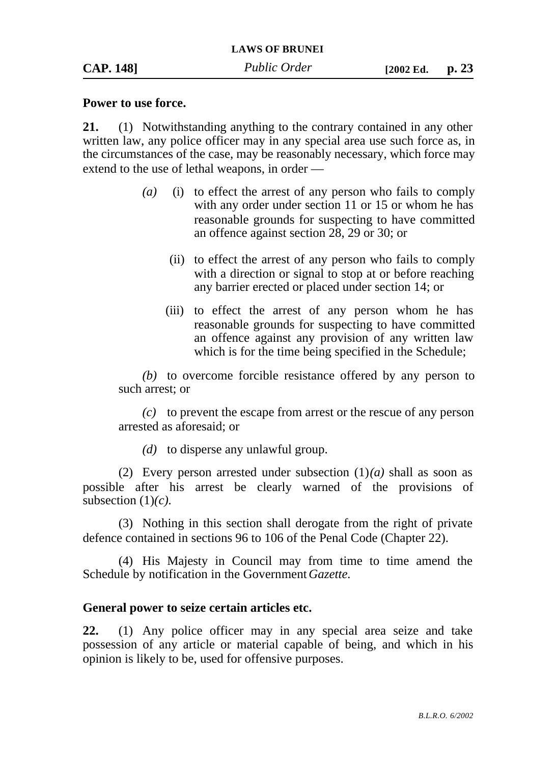#### **Power to use force.**

**21.** (1) Notwithstanding anything to the contrary contained in any other written law, any police officer may in any special area use such force as, in the circumstances of the case, may be reasonably necessary, which force may extend to the use of lethal weapons, in order —

- *(a)* (i) to effect the arrest of any person who fails to comply with any order under section 11 or 15 or whom he has reasonable grounds for suspecting to have committed an offence against section 28, 29 or 30; or
	- (ii) to effect the arrest of any person who fails to comply with a direction or signal to stop at or before reaching any barrier erected or placed under section 14; or
	- (iii) to effect the arrest of any person whom he has reasonable grounds for suspecting to have committed an offence against any provision of any written law which is for the time being specified in the Schedule;

*(b)* to overcome forcible resistance offered by any person to such arrest; or

*(c)* to prevent the escape from arrest or the rescue of any person arrested as aforesaid; or

*(d)* to disperse any unlawful group.

(2) Every person arrested under subsection  $(1)(a)$  shall as soon as possible after his arrest be clearly warned of the provisions of subsection  $(1)(c)$ .

(3) Nothing in this section shall derogate from the right of private defence contained in sections 96 to 106 of the Penal Code (Chapter 22).

(4) His Majesty in Council may from time to time amend the Schedule by notification in the Government *Gazette.*

#### **General power to seize certain articles etc.**

**22.** (1) Any police officer may in any special area seize and take possession of any article or material capable of being, and which in his opinion is likely to be, used for offensive purposes.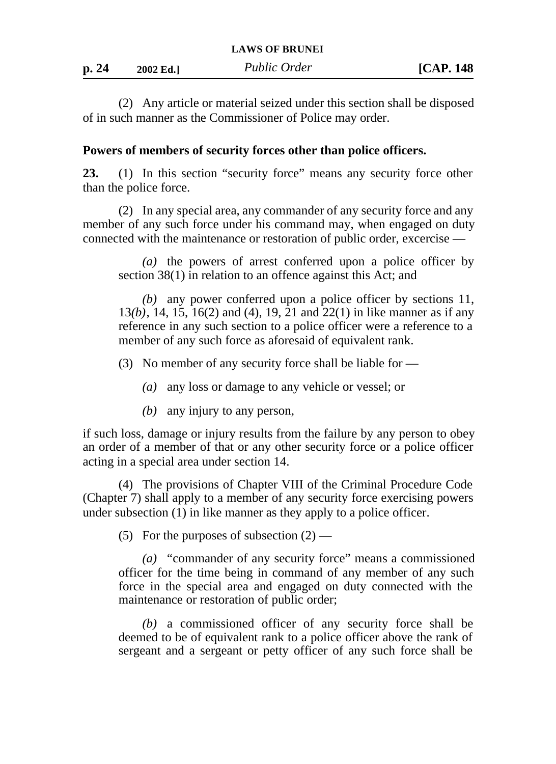| p. 24 | 2002 Ed.] | Public Order | [ $CAP. 148$ ] |
|-------|-----------|--------------|----------------|
|       |           |              |                |

(2) Any article or material seized under this section shall be disposed of in such manner as the Commissioner of Police may order.

### **Powers of members of security forces other than police officers.**

23. (1) In this section "security force" means any security force other than the police force.

(2) In any special area, any commander of any security force and any member of any such force under his command may, when engaged on duty connected with the maintenance or restoration of public order, excercise —

*(a)* the powers of arrest conferred upon a police officer by section 38(1) in relation to an offence against this Act; and

*(b)* any power conferred upon a police officer by sections 11, 13*(b)*, 14, 15, 16(2) and (4), 19, 21 and 22(1) in like manner as if any reference in any such section to a police officer were a reference to a member of any such force as aforesaid of equivalent rank.

- (3) No member of any security force shall be liable for
	- *(a)* any loss or damage to any vehicle or vessel; or
	- *(b)* any injury to any person,

if such loss, damage or injury results from the failure by any person to obey an order of a member of that or any other security force or a police officer acting in a special area under section 14.

(4) The provisions of Chapter VIII of the Criminal Procedure Code (Chapter 7) shall apply to a member of any security force exercising powers under subsection (1) in like manner as they apply to a police officer.

(5) For the purposes of subsection  $(2)$  —

*(a)* "commander of any security force" means a commissioned officer for the time being in command of any member of any such force in the special area and engaged on duty connected with the maintenance or restoration of public order;

*(b)* a commissioned officer of any security force shall be deemed to be of equivalent rank to a police officer above the rank of sergeant and a sergeant or petty officer of any such force shall be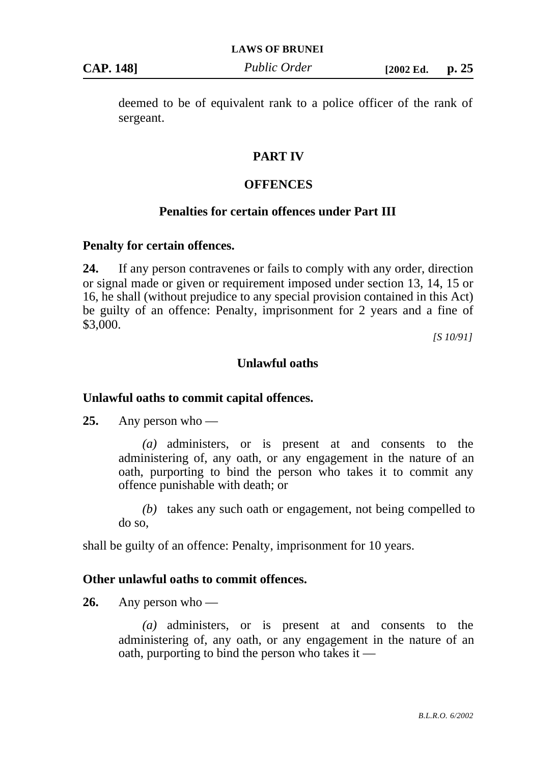*Public Order* **CAP. 148] [2002 Ed. p. 25**

deemed to be of equivalent rank to a police officer of the rank of sergeant.

### **PART IV**

### **OFFENCES**

### **Penalties for certain offences under Part III**

### **Penalty for certain offences.**

**24.** If any person contravenes or fails to comply with any order, direction or signal made or given or requirement imposed under section 13, 14, 15 or 16, he shall (without prejudice to any special provision contained in this Act) be guilty of an offence: Penalty, imprisonment for 2 years and a fine of \$3,000.

*[S 10/91]*

### **Unlawful oaths**

### **Unlawful oaths to commit capital offences.**

**25.** Any person who —

*(a)* administers, or is present at and consents to the administering of, any oath, or any engagement in the nature of an oath, purporting to bind the person who takes it to commit any offence punishable with death; or

*(b)* takes any such oath or engagement, not being compelled to do so,

shall be guilty of an offence: Penalty, imprisonment for 10 years.

### **Other unlawful oaths to commit offences.**

**26.** Any person who —

*(a)* administers, or is present at and consents to the administering of, any oath, or any engagement in the nature of an oath, purporting to bind the person who takes it —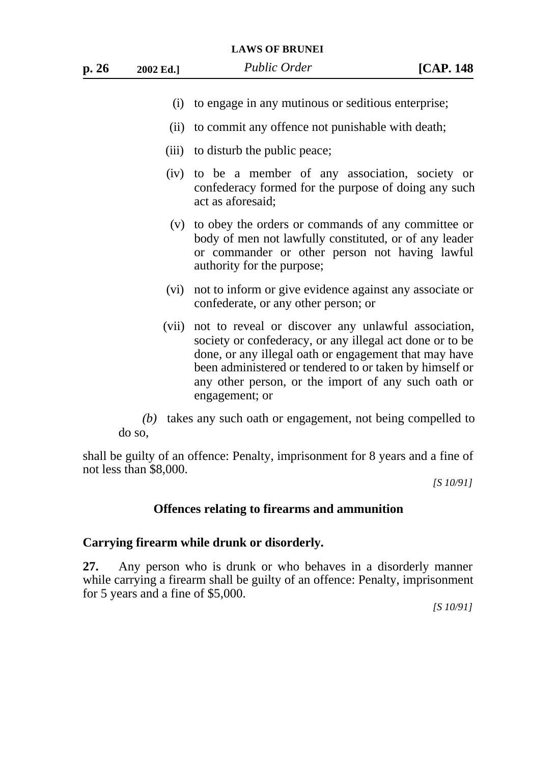- (i) to engage in any mutinous or seditious enterprise;
- (ii) to commit any offence not punishable with death;
- (iii) to disturb the public peace;
- (iv) to be a member of any association, society or confederacy formed for the purpose of doing any such act as aforesaid;
- (v) to obey the orders or commands of any committee or body of men not lawfully constituted, or of any leader or commander or other person not having lawful authority for the purpose;
- (vi) not to inform or give evidence against any associate or confederate, or any other person; or
- (vii) not to reveal or discover any unlawful association, society or confederacy, or any illegal act done or to be done, or any illegal oath or engagement that may have been administered or tendered to or taken by himself or any other person, or the import of any such oath or engagement; or

*(b)* takes any such oath or engagement, not being compelled to do so,

shall be guilty of an offence: Penalty, imprisonment for 8 years and a fine of not less than \$8,000.

*[S 10/91]*

### **Offences relating to firearms and ammunition**

#### **Carrying firearm while drunk or disorderly.**

**27.** Any person who is drunk or who behaves in a disorderly manner while carrying a firearm shall be guilty of an offence: Penalty, imprisonment for 5 years and a fine of \$5,000.

*[S 10/91]*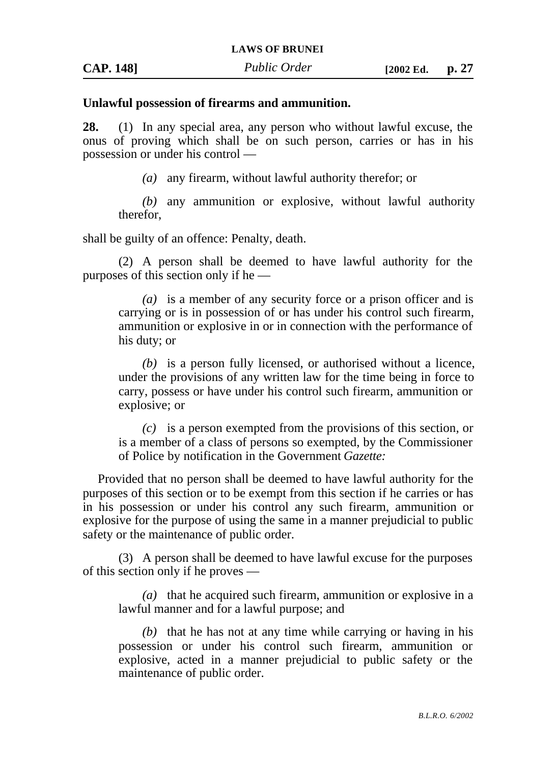#### **Unlawful possession of firearms and ammunition.**

**28.** (1) In any special area, any person who without lawful excuse, the onus of proving which shall be on such person, carries or has in his possession or under his control —

*(a)* any firearm, without lawful authority therefor; or

*(b)* any ammunition or explosive, without lawful authority therefor,

shall be guilty of an offence: Penalty, death.

(2) A person shall be deemed to have lawful authority for the purposes of this section only if he —

*(a)* is a member of any security force or a prison officer and is carrying or is in possession of or has under his control such firearm, ammunition or explosive in or in connection with the performance of his duty; or

*(b)* is a person fully licensed, or authorised without a licence, under the provisions of any written law for the time being in force to carry, possess or have under his control such firearm, ammunition or explosive; or

*(c)* is a person exempted from the provisions of this section, or is a member of a class of persons so exempted, by the Commissioner of Police by notification in the Government *Gazette:*

Provided that no person shall be deemed to have lawful authority for the purposes of this section or to be exempt from this section if he carries or has in his possession or under his control any such firearm, ammunition or explosive for the purpose of using the same in a manner prejudicial to public safety or the maintenance of public order.

(3) A person shall be deemed to have lawful excuse for the purposes of this section only if he proves —

*(a)* that he acquired such firearm, ammunition or explosive in a lawful manner and for a lawful purpose; and

*(b)* that he has not at any time while carrying or having in his possession or under his control such firearm, ammunition or explosive, acted in a manner prejudicial to public safety or the maintenance of public order.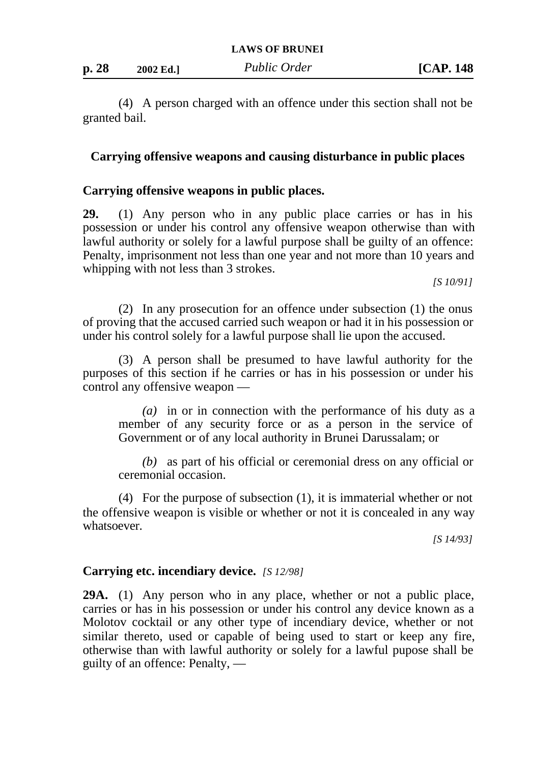(4) A person charged with an offence under this section shall not be granted bail.

### **Carrying offensive weapons and causing disturbance in public places**

### **Carrying offensive weapons in public places.**

**29.** (1) Any person who in any public place carries or has in his possession or under his control any offensive weapon otherwise than with lawful authority or solely for a lawful purpose shall be guilty of an offence: Penalty, imprisonment not less than one year and not more than 10 years and whipping with not less than 3 strokes.

*[S 10/91]*

(2) In any prosecution for an offence under subsection (1) the onus of proving that the accused carried such weapon or had it in his possession or under his control solely for a lawful purpose shall lie upon the accused.

(3) A person shall be presumed to have lawful authority for the purposes of this section if he carries or has in his possession or under his control any offensive weapon —

*(a)* in or in connection with the performance of his duty as a member of any security force or as a person in the service of Government or of any local authority in Brunei Darussalam; or

*(b)* as part of his official or ceremonial dress on any official or ceremonial occasion.

(4) For the purpose of subsection (1), it is immaterial whether or not the offensive weapon is visible or whether or not it is concealed in any way whatsoever.

*[S 14/93]*

### **Carrying etc. incendiary device.** *[S 12/98]*

**29A.** (1) Any person who in any place, whether or not a public place, carries or has in his possession or under his control any device known as a Molotov cocktail or any other type of incendiary device, whether or not similar thereto, used or capable of being used to start or keep any fire, otherwise than with lawful authority or solely for a lawful pupose shall be guilty of an offence: Penalty, —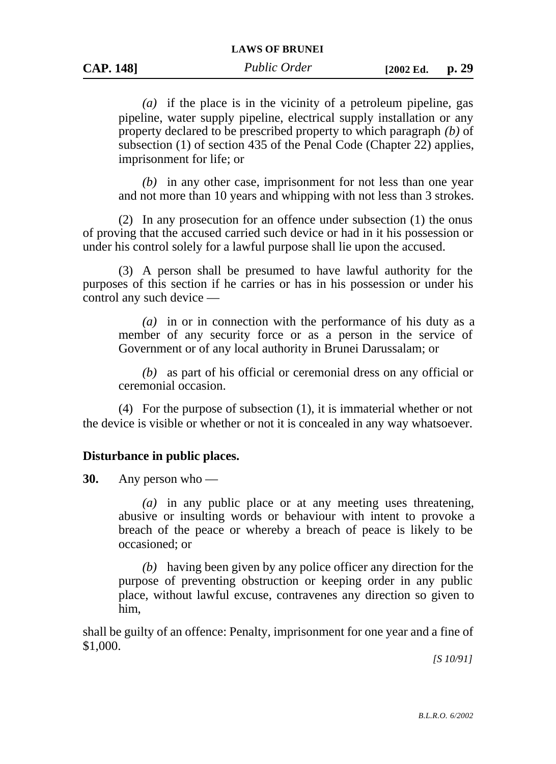*(a)* if the place is in the vicinity of a petroleum pipeline, gas pipeline, water supply pipeline, electrical supply installation or any property declared to be prescribed property to which paragraph *(b)* of subsection (1) of section 435 of the Penal Code (Chapter 22) applies, imprisonment for life; or

*(b)* in any other case, imprisonment for not less than one year and not more than 10 years and whipping with not less than 3 strokes.

(2) In any prosecution for an offence under subsection (1) the onus of proving that the accused carried such device or had in it his possession or under his control solely for a lawful purpose shall lie upon the accused.

(3) A person shall be presumed to have lawful authority for the purposes of this section if he carries or has in his possession or under his control any such device —

*(a)* in or in connection with the performance of his duty as a member of any security force or as a person in the service of Government or of any local authority in Brunei Darussalam; or

*(b)* as part of his official or ceremonial dress on any official or ceremonial occasion.

(4) For the purpose of subsection (1), it is immaterial whether or not the device is visible or whether or not it is concealed in any way whatsoever.

### **Disturbance in public places.**

**30.** Any person who —

*(a)* in any public place or at any meeting uses threatening, abusive or insulting words or behaviour with intent to provoke a breach of the peace or whereby a breach of peace is likely to be occasioned; or

*(b)* having been given by any police officer any direction for the purpose of preventing obstruction or keeping order in any public place, without lawful excuse, contravenes any direction so given to him,

shall be guilty of an offence: Penalty, imprisonment for one year and a fine of \$1,000.

*[S 10/91]*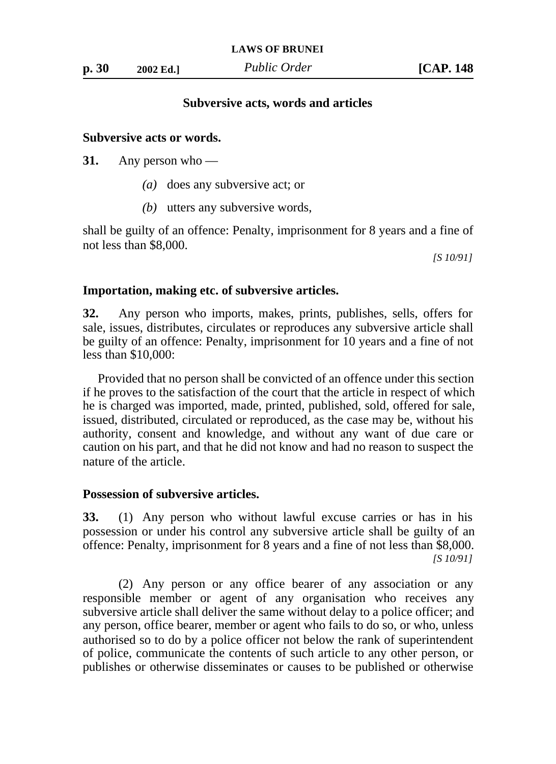### **Subversive acts, words and articles**

#### **Subversive acts or words.**

**31.** Any person who —

- *(a)* does any subversive act; or
- *(b)* utters any subversive words,

shall be guilty of an offence: Penalty, imprisonment for 8 years and a fine of not less than \$8,000.

*[S 10/91]*

#### **Importation, making etc. of subversive articles.**

**32.** Any person who imports, makes, prints, publishes, sells, offers for sale, issues, distributes, circulates or reproduces any subversive article shall be guilty of an offence: Penalty, imprisonment for 10 years and a fine of not less than \$10,000:

Provided that no person shall be convicted of an offence under this section if he proves to the satisfaction of the court that the article in respect of which he is charged was imported, made, printed, published, sold, offered for sale, issued, distributed, circulated or reproduced, as the case may be, without his authority, consent and knowledge, and without any want of due care or caution on his part, and that he did not know and had no reason to suspect the nature of the article.

#### **Possession of subversive articles.**

**33.** (1) Any person who without lawful excuse carries or has in his possession or under his control any subversive article shall be guilty of an offence: Penalty, imprisonment for 8 years and a fine of not less than \$8,000. *[S 10/91]*

(2) Any person or any office bearer of any association or any responsible member or agent of any organisation who receives any subversive article shall deliver the same without delay to a police officer; and any person, office bearer, member or agent who fails to do so, or who, unless authorised so to do by a police officer not below the rank of superintendent of police, communicate the contents of such article to any other person, or publishes or otherwise disseminates or causes to be published or otherwise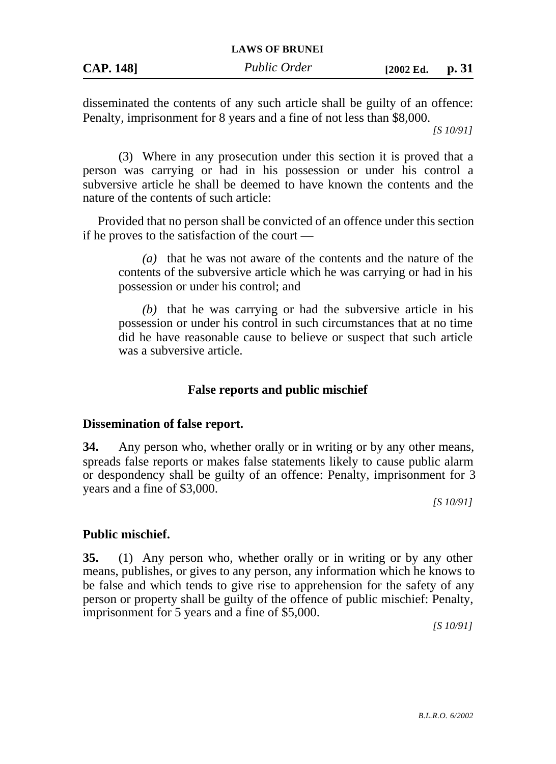disseminated the contents of any such article shall be guilty of an offence: Penalty, imprisonment for 8 years and a fine of not less than \$8,000.

*[S 10/91]*

(3) Where in any prosecution under this section it is proved that a person was carrying or had in his possession or under his control a subversive article he shall be deemed to have known the contents and the nature of the contents of such article:

Provided that no person shall be convicted of an offence under this section if he proves to the satisfaction of the court —

*(a)* that he was not aware of the contents and the nature of the contents of the subversive article which he was carrying or had in his possession or under his control; and

*(b)* that he was carrying or had the subversive article in his possession or under his control in such circumstances that at no time did he have reasonable cause to believe or suspect that such article was a subversive article.

### **False reports and public mischief**

### **Dissemination of false report.**

**34.** Any person who, whether orally or in writing or by any other means, spreads false reports or makes false statements likely to cause public alarm or despondency shall be guilty of an offence: Penalty, imprisonment for 3 years and a fine of \$3,000.

*[S 10/91]*

### **Public mischief.**

**35.** (1) Any person who, whether orally or in writing or by any other means, publishes, or gives to any person, any information which he knows to be false and which tends to give rise to apprehension for the safety of any person or property shall be guilty of the offence of public mischief: Penalty, imprisonment for 5 years and a fine of \$5,000.

*[S 10/91]*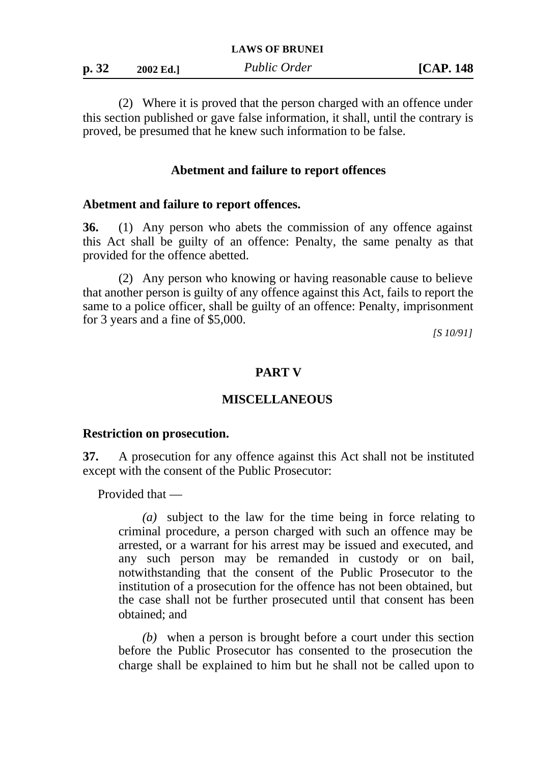| p. 32<br>2002 Ed.] | Public Order | [CAP. 148] |
|--------------------|--------------|------------|
|--------------------|--------------|------------|

(2) Where it is proved that the person charged with an offence under this section published or gave false information, it shall, until the contrary is proved, be presumed that he knew such information to be false.

#### **Abetment and failure to report offences**

#### **Abetment and failure to report offences.**

**36.** (1) Any person who abets the commission of any offence against this Act shall be guilty of an offence: Penalty, the same penalty as that provided for the offence abetted.

(2) Any person who knowing or having reasonable cause to believe that another person is guilty of any offence against this Act, fails to report the same to a police officer, shall be guilty of an offence: Penalty, imprisonment for 3 years and a fine of \$5,000.

*[S 10/91]*

#### **PART V**

#### **MISCELLANEOUS**

#### **Restriction on prosecution.**

**37.** A prosecution for any offence against this Act shall not be instituted except with the consent of the Public Prosecutor:

Provided that —

*(a)* subject to the law for the time being in force relating to criminal procedure, a person charged with such an offence may be arrested, or a warrant for his arrest may be issued and executed, and any such person may be remanded in custody or on bail, notwithstanding that the consent of the Public Prosecutor to the institution of a prosecution for the offence has not been obtained, but the case shall not be further prosecuted until that consent has been obtained; and

*(b)* when a person is brought before a court under this section before the Public Prosecutor has consented to the prosecution the charge shall be explained to him but he shall not be called upon to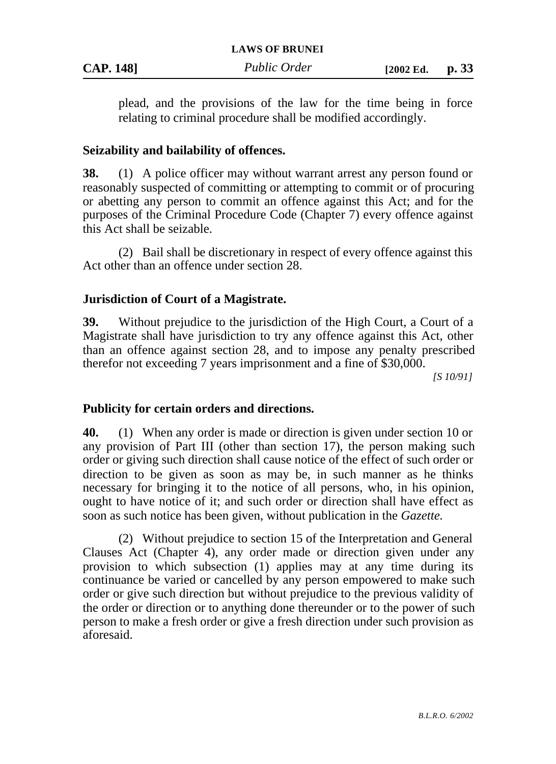plead, and the provisions of the law for the time being in force relating to criminal procedure shall be modified accordingly.

### **Seizability and bailability of offences.**

**38.** (1) A police officer may without warrant arrest any person found or reasonably suspected of committing or attempting to commit or of procuring or abetting any person to commit an offence against this Act; and for the purposes of the Criminal Procedure Code (Chapter 7) every offence against this Act shall be seizable.

(2) Bail shall be discretionary in respect of every offence against this Act other than an offence under section 28.

### **Jurisdiction of Court of a Magistrate.**

**39.** Without prejudice to the jurisdiction of the High Court, a Court of a Magistrate shall have jurisdiction to try any offence against this Act, other than an offence against section 28, and to impose any penalty prescribed therefor not exceeding 7 years imprisonment and a fine of \$30,000.

*[S 10/91]*

### **Publicity for certain orders and directions.**

**40.** (1) When any order is made or direction is given under section 10 or any provision of Part III (other than section 17), the person making such order or giving such direction shall cause notice of the effect of such order or direction to be given as soon as may be, in such manner as he thinks necessary for bringing it to the notice of all persons, who, in his opinion, ought to have notice of it; and such order or direction shall have effect as soon as such notice has been given, without publication in the *Gazette.*

(2) Without prejudice to section 15 of the Interpretation and General Clauses Act (Chapter 4), any order made or direction given under any provision to which subsection (1) applies may at any time during its continuance be varied or cancelled by any person empowered to make such order or give such direction but without prejudice to the previous validity of the order or direction or to anything done thereunder or to the power of such person to make a fresh order or give a fresh direction under such provision as aforesaid.